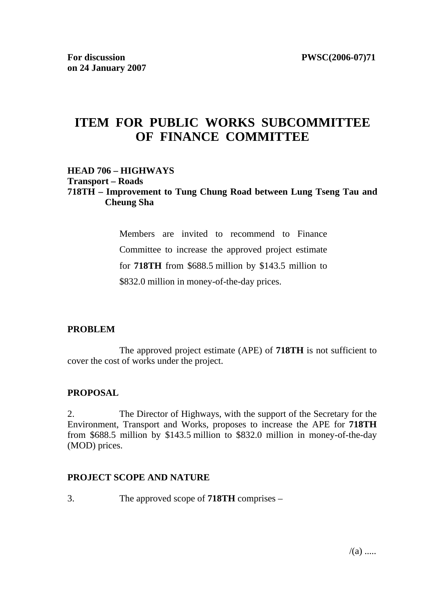# **ITEM FOR PUBLIC WORKS SUBCOMMITTEE OF FINANCE COMMITTEE**

## **HEAD 706 – HIGHWAYS**

#### **Transport – Roads**

## **718TH – Improvement to Tung Chung Road between Lung Tseng Tau and Cheung Sha**

Members are invited to recommend to Finance Committee to increase the approved project estimate for **718TH** from \$688.5 million by \$143.5 million to \$832.0 million in money-of-the-day prices.

## **PROBLEM**

 The approved project estimate (APE) of **718TH** is not sufficient to cover the cost of works under the project.

## **PROPOSAL**

2. The Director of Highways, with the support of the Secretary for the Environment, Transport and Works, proposes to increase the APE for **718TH** from \$688.5 million by \$143.5 million to \$832.0 million in money-of-the-day (MOD) prices.

#### **PROJECT SCOPE AND NATURE**

3. The approved scope of **718TH** comprises –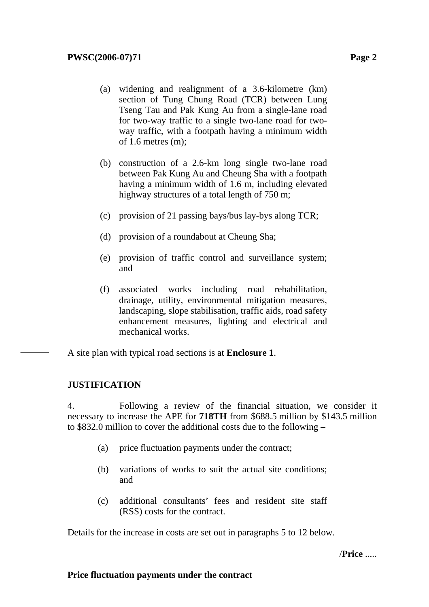- (a) widening and realignment of a 3.6-kilometre (km) section of Tung Chung Road (TCR) between Lung Tseng Tau and Pak Kung Au from a single-lane road for two-way traffic to a single two-lane road for twoway traffic, with a footpath having a minimum width of 1.6 metres (m);
- (b) construction of a 2.6-km long single two-lane road between Pak Kung Au and Cheung Sha with a footpath having a minimum width of 1.6 m, including elevated highway structures of a total length of 750 m;
- (c) provision of 21 passing bays/bus lay-bys along TCR;
- (d) provision of a roundabout at Cheung Sha;
- (e) provision of traffic control and surveillance system; and
- (f) associated works including road rehabilitation, drainage, utility, environmental mitigation measures, landscaping, slope stabilisation, traffic aids, road safety enhancement measures, lighting and electrical and mechanical works.

A site plan with typical road sections is at **Enclosure 1**.

## **JUSTIFICATION**

4. Following a review of the financial situation, we consider it necessary to increase the APE for **718TH** from \$688.5 million by \$143.5 million to \$832.0 million to cover the additional costs due to the following –

- (a) price fluctuation payments under the contract;
- (b) variations of works to suit the actual site conditions; and
- (c) additional consultants' fees and resident site staff (RSS) costs for the contract.

Details for the increase in costs are set out in paragraphs 5 to 12 below.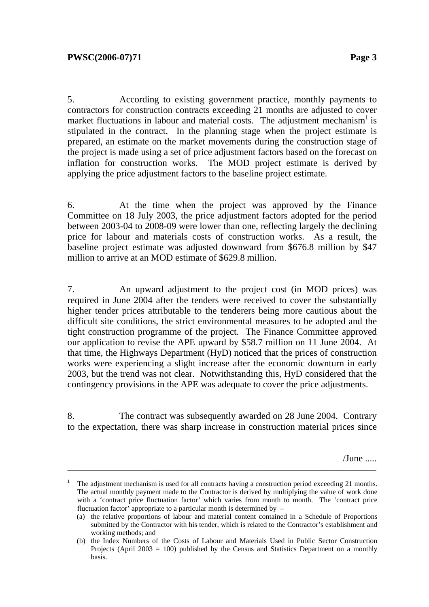5. According to existing government practice, monthly payments to contractors for construction contracts exceeding 21 months are adjusted to cover market fluctuations in labour and material costs. The adjustment mechanism<sup>1</sup> is stipulated in the contract. In the planning stage when the project estimate is prepared, an estimate on the market movements during the construction stage of the project is made using a set of price adjustment factors based on the forecast on inflation for construction works. The MOD project estimate is derived by applying the price adjustment factors to the baseline project estimate.

6. At the time when the project was approved by the Finance Committee on 18 July 2003, the price adjustment factors adopted for the period between 2003-04 to 2008-09 were lower than one, reflecting largely the declining price for labour and materials costs of construction works. As a result, the baseline project estimate was adjusted downward from \$676.8 million by \$47 million to arrive at an MOD estimate of \$629.8 million.

7. An upward adjustment to the project cost (in MOD prices) was required in June 2004 after the tenders were received to cover the substantially higher tender prices attributable to the tenderers being more cautious about the difficult site conditions, the strict environmental measures to be adopted and the tight construction programme of the project. The Finance Committee approved our application to revise the APE upward by \$58.7 million on 11 June 2004. At that time, the Highways Department (HyD) noticed that the prices of construction works were experiencing a slight increase after the economic downturn in early 2003, but the trend was not clear. Notwithstanding this, HyD considered that the contingency provisions in the APE was adequate to cover the price adjustments.

8. The contract was subsequently awarded on 28 June 2004. Contrary to the expectation, there was sharp increase in construction material prices since

/June .....

<sup>1</sup> The adjustment mechanism is used for all contracts having a construction period exceeding 21 months. The actual monthly payment made to the Contractor is derived by multiplying the value of work done with a 'contract price fluctuation factor' which varies from month to month. The 'contract price fluctuation factor' appropriate to a particular month is determined by –

<sup>(</sup>a) the relative proportions of labour and material content contained in a Schedule of Proportions submitted by the Contractor with his tender, which is related to the Contractor's establishment and working methods; and

<sup>(</sup>b) the Index Numbers of the Costs of Labour and Materials Used in Public Sector Construction Projects (April 2003 = 100) published by the Census and Statistics Department on a monthly basis.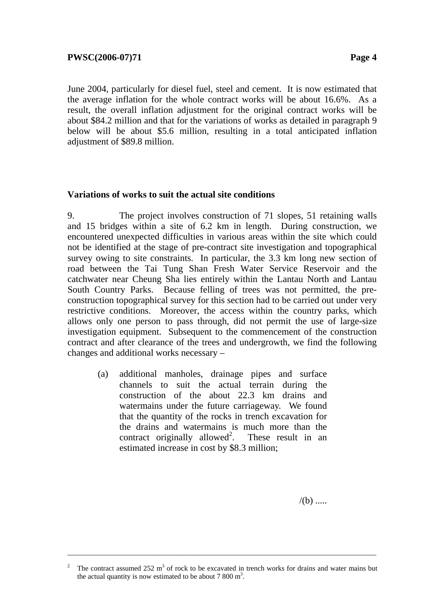June 2004, particularly for diesel fuel, steel and cement. It is now estimated that the average inflation for the whole contract works will be about 16.6%. As a result, the overall inflation adjustment for the original contract works will be about \$84.2 million and that for the variations of works as detailed in paragraph 9 below will be about \$5.6 million, resulting in a total anticipated inflation adjustment of \$89.8 million.

#### **Variations of works to suit the actual site conditions**

9. The project involves construction of 71 slopes, 51 retaining walls and 15 bridges within a site of 6.2 km in length. During construction, we encountered unexpected difficulties in various areas within the site which could not be identified at the stage of pre-contract site investigation and topographical survey owing to site constraints. In particular, the 3.3 km long new section of road between the Tai Tung Shan Fresh Water Service Reservoir and the catchwater near Cheung Sha lies entirely within the Lantau North and Lantau South Country Parks. Because felling of trees was not permitted, the preconstruction topographical survey for this section had to be carried out under very restrictive conditions. Moreover, the access within the country parks, which allows only one person to pass through, did not permit the use of large-size investigation equipment. Subsequent to the commencement of the construction contract and after clearance of the trees and undergrowth, we find the following changes and additional works necessary –

(a) additional manholes, drainage pipes and surface channels to suit the actual terrain during the construction of the about 22.3 km drains and watermains under the future carriageway. We found that the quantity of the rocks in trench excavation for the drains and watermains is much more than the contract originally allowed<sup>2</sup>. . These result in an estimated increase in cost by \$8.3 million;

 $/(b)$  .....

\_\_\_\_\_\_\_\_\_\_\_\_\_\_\_\_\_\_\_\_\_\_\_\_\_\_\_\_\_\_\_\_\_\_\_\_\_\_\_\_\_\_\_\_\_\_\_\_\_\_\_\_\_\_\_\_\_\_\_\_\_\_\_\_\_\_\_\_\_\_\_\_\_\_\_\_\_\_\_\_\_\_\_\_\_

<sup>2</sup> The contract assumed  $252 \text{ m}^3$  of rock to be excavated in trench works for drains and water mains but the actual quantity is now estimated to be about  $7800 \text{ m}^3$ .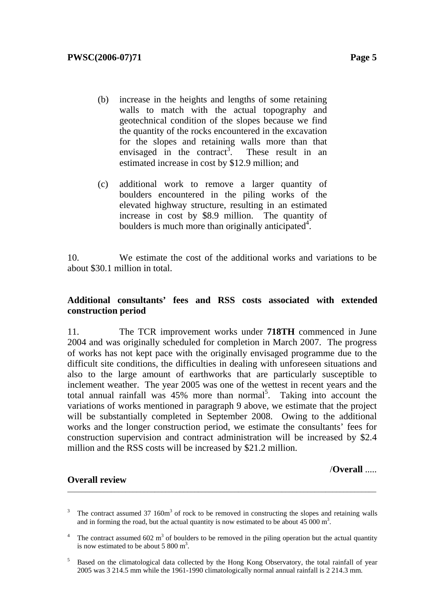- (b) increase in the heights and lengths of some retaining walls to match with the actual topography and geotechnical condition of the slopes because we find the quantity of the rocks encountered in the excavation for the slopes and retaining walls more than that envisaged in the contract<sup>3</sup>. . These result in an estimated increase in cost by \$12.9 million; and
- (c) additional work to remove a larger quantity of boulders encountered in the piling works of the elevated highway structure, resulting in an estimated increase in cost by \$8.9 million. The quantity of boulders is much more than originally anticipated<sup>4</sup>.

10. We estimate the cost of the additional works and variations to be about \$30.1 million in total.

#### **Additional consultants' fees and RSS costs associated with extended construction period**

11. The TCR improvement works under **718TH** commenced in June 2004 and was originally scheduled for completion in March 2007. The progress of works has not kept pace with the originally envisaged programme due to the difficult site conditions, the difficulties in dealing with unforeseen situations and also to the large amount of earthworks that are particularly susceptible to inclement weather. The year 2005 was one of the wettest in recent years and the total annual rainfall was  $45\%$  more than normal<sup>5</sup>. Taking into account the variations of works mentioned in paragraph 9 above, we estimate that the project will be substantially completed in September 2008. Owing to the additional works and the longer construction period, we estimate the consultants' fees for construction supervision and contract administration will be increased by \$2.4 million and the RSS costs will be increased by \$21.2 million.

#### **Overall review**

/**Overall** .....

3 The contract assumed 37 160m<sup>3</sup> of rock to be removed in constructing the slopes and retaining walls and in forming the road, but the actual quantity is now estimated to be about 45 000  $m^3$ .

\_\_\_\_\_\_\_\_\_\_\_\_\_\_\_\_\_\_\_\_\_\_\_\_\_\_\_\_\_\_\_\_\_\_\_\_\_\_\_\_\_\_\_\_\_\_\_\_\_\_\_\_\_\_\_\_\_\_\_\_\_\_\_\_\_\_\_\_\_\_\_\_\_\_\_\_\_\_\_\_\_\_\_\_\_

<sup>4</sup> The contract assumed  $602 \text{ m}^3$  of boulders to be removed in the piling operation but the actual quantity is now estimated to be about 5 800  $m<sup>3</sup>$ .

<sup>5</sup> Based on the climatological data collected by the Hong Kong Observatory, the total rainfall of year 2005 was 3 214.5 mm while the 1961-1990 climatologically normal annual rainfall is 2 214.3 mm.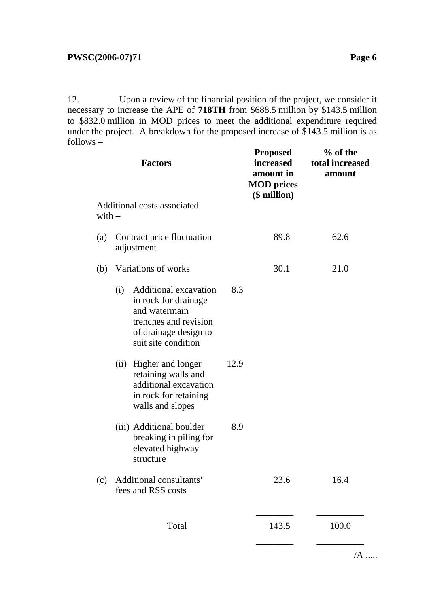12. Upon a review of the financial position of the project, we consider it necessary to increase the APE of **718TH** from \$688.5 million by \$143.5 million to \$832.0 million in MOD prices to meet the additional expenditure required under the project. A breakdown for the proposed increase of \$143.5 million is as follows –

|                                         |                                               | <b>Factors</b>                                                                                                                                 |      | <b>Proposed</b><br>increased<br>amount in<br><b>MOD</b> prices | % of the<br>total increased<br>amount |
|-----------------------------------------|-----------------------------------------------|------------------------------------------------------------------------------------------------------------------------------------------------|------|----------------------------------------------------------------|---------------------------------------|
| Additional costs associated<br>$with -$ |                                               |                                                                                                                                                |      | $$$ million)                                                   |                                       |
| $\left( a\right)$                       | Contract price fluctuation<br>adjustment      |                                                                                                                                                |      | 89.8                                                           | 62.6                                  |
| (b)                                     | Variations of works                           |                                                                                                                                                |      | 30.1                                                           | 21.0                                  |
|                                         | (i)                                           | <b>Additional excavation</b><br>in rock for drainage<br>and watermain<br>trenches and revision<br>of drainage design to<br>suit site condition | 8.3  |                                                                |                                       |
|                                         |                                               | (ii) Higher and longer<br>retaining walls and<br>additional excavation<br>in rock for retaining<br>walls and slopes                            | 12.9 |                                                                |                                       |
|                                         |                                               | (iii) Additional boulder<br>breaking in piling for<br>elevated highway<br>structure                                                            | 8.9  |                                                                |                                       |
| (c)                                     | Additional consultants'<br>fees and RSS costs |                                                                                                                                                |      | 23.6                                                           | 16.4                                  |
|                                         |                                               | Total                                                                                                                                          |      | 143.5                                                          | 100.0                                 |

 $/A$  .....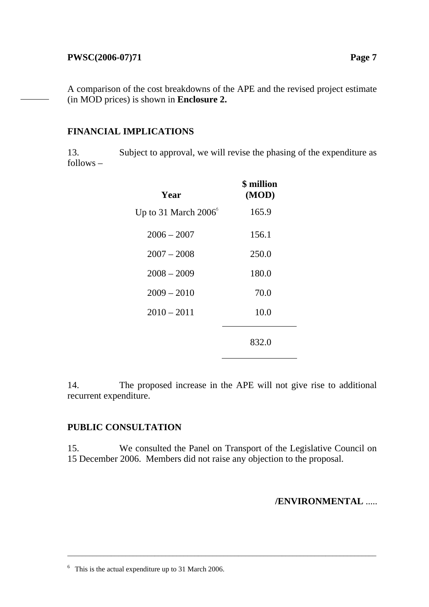## **PWSC(2006-07)71** Page 7

A comparison of the cost breakdowns of the APE and the revised project estimate (in MOD prices) is shown in **Enclosure 2.**

## **FINANCIAL IMPLICATIONS**

13. Subject to approval, we will revise the phasing of the expenditure as follows –

| Year                          | <b>\$</b> million<br>(MOD) |
|-------------------------------|----------------------------|
| Up to 31 March $2006^{\circ}$ | 165.9                      |
| $2006 - 2007$                 | 156.1                      |
| $2007 - 2008$                 | 250.0                      |
| $2008 - 2009$                 | 180.0                      |
| $2009 - 2010$                 | 70.0                       |
| $2010 - 2011$                 | 10.0                       |
|                               | 832.0                      |

14. The proposed increase in the APE will not give rise to additional recurrent expenditure.

## **PUBLIC CONSULTATION**

15. We consulted the Panel on Transport of the Legislative Council on 15 December 2006. Members did not raise any objection to the proposal.

\_\_\_\_\_\_\_\_\_\_\_\_\_\_\_\_\_\_\_\_\_\_\_\_\_\_\_\_\_\_\_\_\_\_\_\_\_\_\_\_\_\_\_\_\_\_\_\_\_\_\_\_\_\_\_\_\_\_\_\_\_\_\_\_\_\_\_\_\_\_\_\_\_\_\_\_\_\_\_\_\_\_\_\_\_

#### **/ENVIRONMENTAL** .....

<sup>&</sup>lt;sup>6</sup> This is the actual expenditure up to 31 March 2006.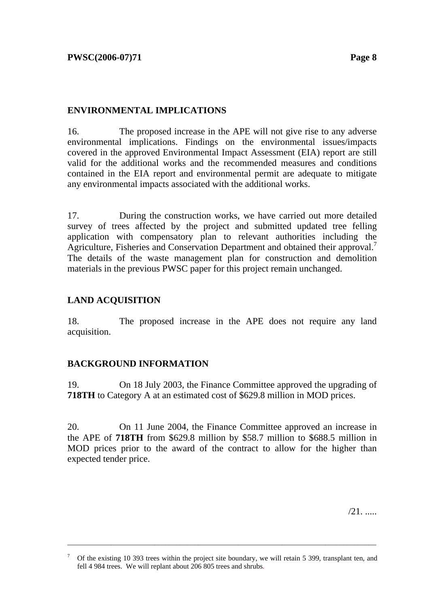## **ENVIRONMENTAL IMPLICATIONS**

16. The proposed increase in the APE will not give rise to any adverse environmental implications. Findings on the environmental issues/impacts covered in the approved Environmental Impact Assessment (EIA) report are still valid for the additional works and the recommended measures and conditions contained in the EIA report and environmental permit are adequate to mitigate any environmental impacts associated with the additional works.

17. During the construction works, we have carried out more detailed survey of trees affected by the project and submitted updated tree felling application with compensatory plan to relevant authorities including the Agriculture, Fisheries and Conservation Department and obtained their approval.<sup>7</sup> The details of the waste management plan for construction and demolition materials in the previous PWSC paper for this project remain unchanged.

# **LAND ACQUISITION**

18. The proposed increase in the APE does not require any land acquisition.

# **BACKGROUND INFORMATION**

19. On 18 July 2003, the Finance Committee approved the upgrading of **718TH** to Category A at an estimated cost of \$629.8 million in MOD prices.

20. On 11 June 2004, the Finance Committee approved an increase in the APE of **718TH** from \$629.8 million by \$58.7 million to \$688.5 million in MOD prices prior to the award of the contract to allow for the higher than expected tender price.

/21. .....

\_\_\_\_\_\_\_\_\_\_\_\_\_\_\_\_\_\_\_\_\_\_\_\_\_\_\_\_\_\_\_\_\_\_\_\_\_\_\_\_\_\_\_\_\_\_\_\_\_\_\_\_\_\_\_\_\_\_\_\_\_\_\_\_\_\_\_\_\_\_\_\_\_\_\_\_\_\_\_\_\_\_\_\_\_

<sup>7</sup> Of the existing 10 393 trees within the project site boundary, we will retain 5 399, transplant ten, and fell 4 984 trees. We will replant about 206 805 trees and shrubs.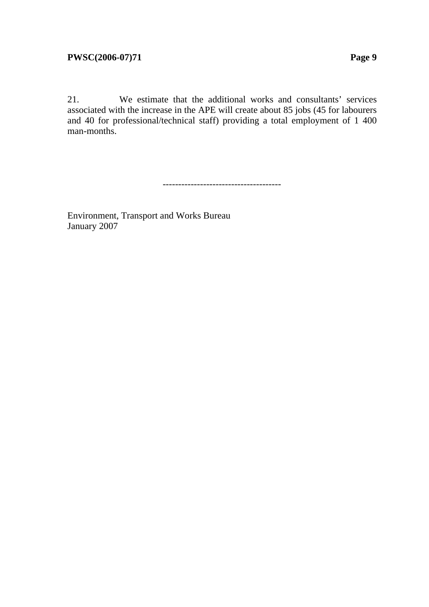21. We estimate that the additional works and consultants' services associated with the increase in the APE will create about 85 jobs (45 for labourers and 40 for professional/technical staff) providing a total employment of 1 400 man-months.

--------------------------------------

Environment, Transport and Works Bureau January 2007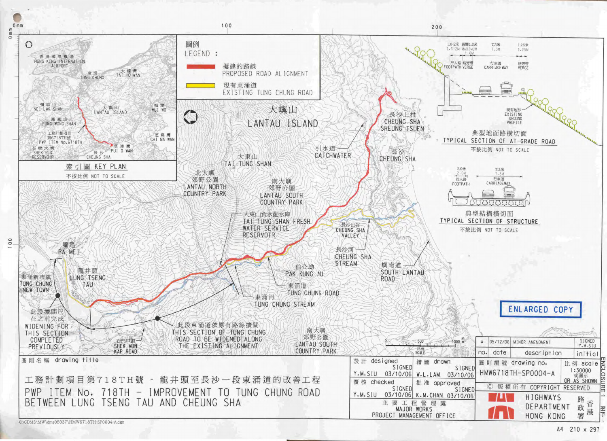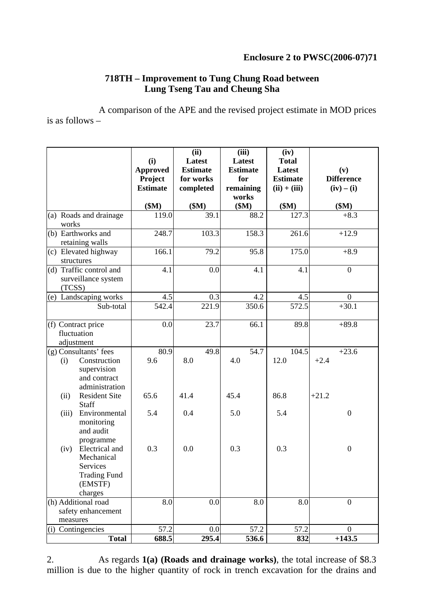## **Enclosure 2 to PWSC(2006-07)71**

## **718TH – Improvement to Tung Chung Road between Lung Tseng Tau and Cheung Sha**

A comparison of the APE and the revised project estimate in MOD prices is as follows –

|          |                                                | (i)<br><b>Approved</b><br><b>Project</b> | (ii)<br>Latest<br><b>Estimate</b><br>for works | (iii)<br>Latest<br><b>Estimate</b><br>for |       | (iv)<br><b>Total</b><br>Latest<br><b>Estimate</b> | (v)<br><b>Difference</b> |
|----------|------------------------------------------------|------------------------------------------|------------------------------------------------|-------------------------------------------|-------|---------------------------------------------------|--------------------------|
|          |                                                | <b>Estimate</b>                          | completed                                      | remaining<br>works                        |       | $(ii) + (iii)$                                    | $(iv) - (i)$             |
|          |                                                | \$M\$                                    | \$M\$                                          | \$M\$                                     |       | \$M\$                                             | \$M\$                    |
| works    | (a) Roads and drainage                         | 119.0                                    | 39.1                                           |                                           | 88.2  | 127.3                                             | $+8.3$                   |
|          | (b) Earthworks and<br>retaining walls          | 248.7                                    | 103.3                                          |                                           | 158.3 | 261.6                                             | $+12.9$                  |
|          | (c) Elevated highway<br>structures             | 166.1                                    | 79.2                                           |                                           | 95.8  | 175.0                                             | $+8.9$                   |
| (TCSS)   | (d) Traffic control and<br>surveillance system | 4.1                                      |                                                | 0.0                                       | 4.1   | 4.1                                               | $\overline{0}$           |
|          | (e) Landscaping works                          | 4.5                                      |                                                | 0.3                                       | 4.2   | 4.5                                               | $\boldsymbol{0}$         |
|          | Sub-total                                      | 542.4                                    | 221.9                                          |                                           | 350.6 | 572.5                                             | $+30.1$                  |
|          | (f) Contract price                             | 0.0                                      | 23.7                                           |                                           | 66.1  | 89.8                                              | $+89.8$                  |
|          | fluctuation                                    |                                          |                                                |                                           |       |                                                   |                          |
|          | adjustment                                     |                                          |                                                |                                           |       |                                                   |                          |
|          | $(g)$ Consultants' fees                        | 80.9                                     | 49.8                                           |                                           | 54.7  | 104.5                                             | $+23.6$                  |
| (i)      | Construction                                   | 9.6                                      | 8.0                                            | 4.0                                       |       | 12.0                                              | $+2.4$                   |
|          | supervision                                    |                                          |                                                |                                           |       |                                                   |                          |
|          | and contract                                   |                                          |                                                |                                           |       |                                                   |                          |
|          | administration                                 |                                          |                                                |                                           |       |                                                   |                          |
| (ii)     | <b>Resident Site</b><br>Staff                  | 65.6                                     | 41.4                                           | 45.4                                      |       | 86.8                                              | $+21.2$                  |
| (iii)    | Environmental<br>monitoring<br>and audit       | 5.4                                      | 0.4                                            | 5.0                                       |       | 5.4                                               | $\boldsymbol{0}$         |
| (iv)     | programme<br>Electrical and<br>Mechanical      | 0.3                                      | 0.0                                            | 0.3                                       |       | 0.3                                               | $\boldsymbol{0}$         |
|          | Services                                       |                                          |                                                |                                           |       |                                                   |                          |
|          | <b>Trading Fund</b>                            |                                          |                                                |                                           |       |                                                   |                          |
|          | (EMSTF)                                        |                                          |                                                |                                           |       |                                                   |                          |
|          | charges                                        |                                          |                                                |                                           |       |                                                   |                          |
|          | (h) Additional road                            | 8.0                                      |                                                | 0.0                                       | 8.0   | 8.0                                               | $\boldsymbol{0}$         |
|          | safety enhancement                             |                                          |                                                |                                           |       |                                                   |                          |
| measures |                                                |                                          |                                                |                                           |       |                                                   |                          |
| (i)      | Contingencies                                  | 57.2                                     |                                                | 0.0                                       | 57.2  | 57.2                                              | $\boldsymbol{0}$         |
|          | <b>Total</b>                                   | 688.5                                    | 295.4                                          |                                           | 536.6 | 832                                               | $+143.5$                 |

2. As regards **1(a) (Roads and drainage works)**, the total increase of \$8.3 million is due to the higher quantity of rock in trench excavation for the drains and